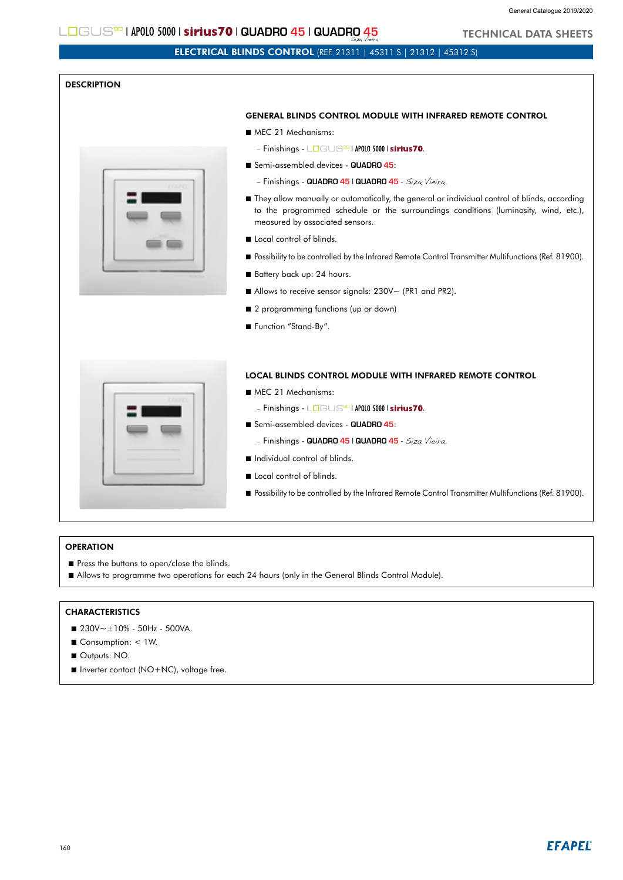TECHNICAL DATA SHEETS

#### $L$ OGUS<sup>50</sup> | APOLO 5000 | sirius70 | QUADRO 45 | QUADRO 45 Siza Vieira

# ELECTRICAL BLINDS CONTROL (REF. 21311 | 45311 S | 21312 | 45312 S)

## **DESCRIPTION**



### GENERAL BLINDS CONTROL MODULE WITH INFRARED REMOTE CONTROL

- MEC 21 Mechanisms:
	- Finishings L**o**gus<sup>so</sup>l APOLO 5000 | sirius70.
- Semi-assembled devices **QUADRO 45**:
	- Finishings **QUADRO 45** | **QUADRO 45** Siza Vieira.
- They allow manually or automatically, the general or individual control of blinds, according to the programmed schedule or the surroundings conditions (luminosity, wind, etc.), measured by associated sensors.
- Local control of blinds.
- **Possibility to be controlled by the Infrared Remote Control Transmitter Multifunctions (Ref. 81900).**
- Battery back up: 24 hours.
- Allows to receive sensor signals: 230V~ (PR1 and PR2).
- 2 programming functions (up or down)
- Function "Stand-By".

#### LOCAL BLINDS CONTROL MODULE WITH INFRARED REMOTE CONTROL

- MEC 21 Mechanisms:
	- Finishings | | .
- Semi-assembled devices **QUADRO 45**:
	- Finishings **QUADRO 45** | **QUADRO 45** Siza Vieira.
- Individual control of blinds.
- Local control of blinds.
- Possibility to be controlled by the Infrared Remote Control Transmitter Multifunctions (Ref. 81900).

#### **OPERATION**

- Press the buttons to open/close the blinds.
- Allows to programme two operations for each 24 hours (only in the General Blinds Control Module).

## **CHARACTERISTICS**

- $230V \approx \pm 10\%$  50Hz 500VA.
- Consumption: < 1W.
- Outputs: NO.
- Inverter contact (NO+NC), voltage free.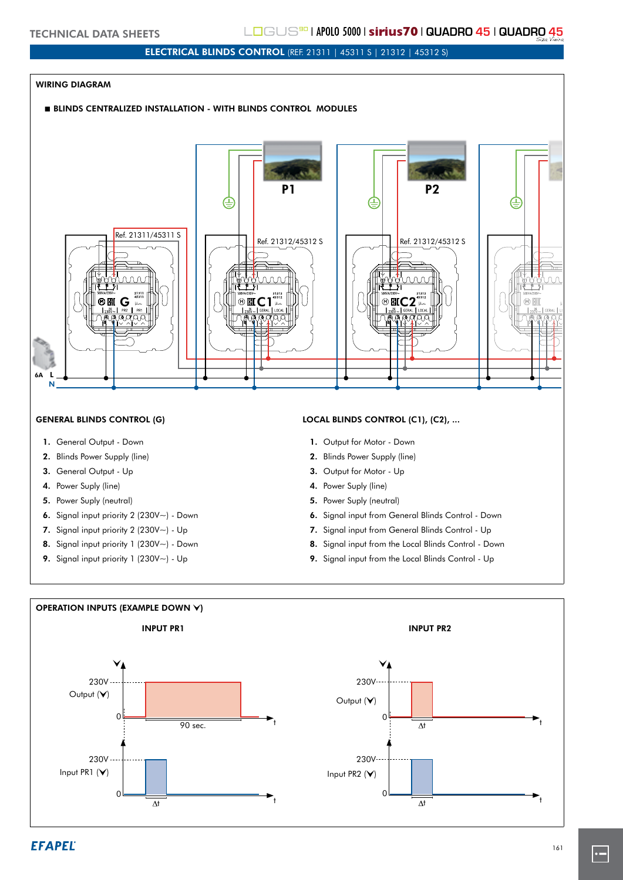# ELECTRICAL BLINDS CONTROL (REF. 21311 | 45311 S | 21312 | 45312 S)

### WIRING DIAGRAM

#### **BLINDS CENTRALIZED INSTALLATION - WITH BLINDS CONTROL MODULES**



- 1. General Output Down
- 2. Blinds Power Supply (line)
- 3. General Output Up
- 4. Power Suply (line)
- 5. Power Suply (neutral)
- 6. Signal input priority 2 (230V~) Down
- 7. Signal input priority 2 (230V~) Up
- 8. Signal input priority 1 (230V $\sim$ ) Down
- 9. Signal input priority 1 (230V~) Up

#### GENERAL BLINDS CONTROL (G) LOCAL BLINDS CONTROL (C1), (C2), ...

- 1. Output for Motor Down
- 2. Blinds Power Supply (line)
- 3. Output for Motor Up
- 4. Power Suply (line)
- 5. Power Suply (neutral)
- 6. Signal input from General Blinds Control Down
- 7. Signal input from General Blinds Control Up
- 8. Signal input from the Local Blinds Control Down
- 9. Signal input from the Local Blinds Control Up



 $\cdot$   $-$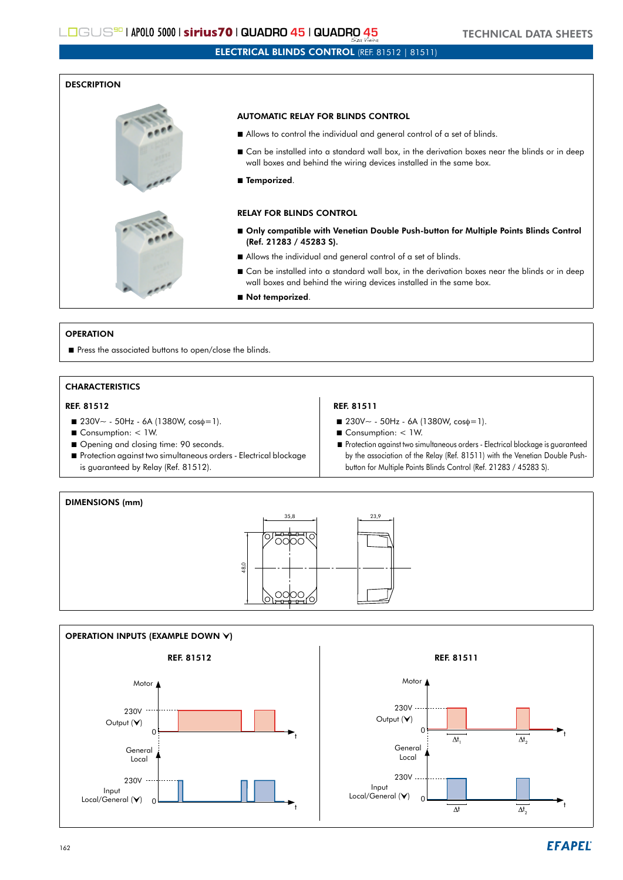# ELECTRICAL BLINDS CONTROL (REF. 81512 | 81511)

#### **DESCRIPTION**



#### AUTOMATIC RELAY FOR BLINDS CONTROL

- Allows to control the individual and general control of a set of blinds.
- Can be installed into a standard wall box, in the derivation boxes near the blinds or in deep wall boxes and behind the wiring devices installed in the same box.
- Temporized.

### RELAY FOR BLINDS CONTROL

- Only compatible with Venetian Double Push-button for Multiple Points Blinds Control (Ref. 21283 / 45283 S).
- Allows the individual and general control of a set of blinds.
- Can be installed into a standard wall box, in the derivation boxes near the blinds or in deep wall boxes and behind the wiring devices installed in the same box.
- Not temporized.

#### **OPERATION**

Press the associated buttons to open/close the blinds.

## **CHARACTERISTICS**

### REF. 81512 REF. 81511

- $\blacksquare$  230V ~ 50Hz 6A (1380W, cos $\phi=1$ ).
- Consumption: < 1W.
- Opening and closing time: 90 seconds.
- Protection against two simultaneous orders Electrical blockage is guaranteed by Relay (Ref. 81512).

- $\blacksquare$  230V~ 50Hz 6A (1380W, cos $\phi=1$ ).
- Consumption: < 1W.
- Protection against two simultaneous orders Electrical blockage is guaranteed by the association of the Relay (Ref. 81511) with the Venetian Double Pushbutton for Multiple Points Blinds Control (Ref. 21283 / 45283 S).